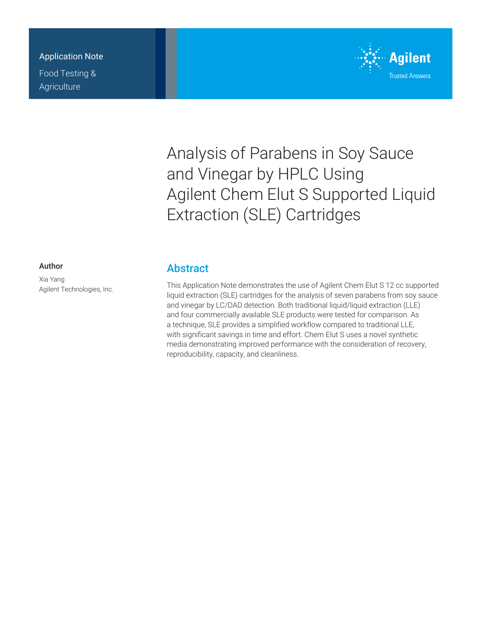### Application Note

Food Testing & **Agriculture** 



# Analysis of Parabens in Soy Sauce and Vinegar by HPLC Using Agilent Chem Elut S Supported Liquid Extraction (SLE) Cartridges

#### Author

Xia Yang Agilent Technologies, Inc.

## **Abstract**

This Application Note demonstrates the use of Agilent Chem Elut S 12 cc supported liquid extraction (SLE) cartridges for the analysis of seven parabens from soy sauce and vinegar by LC/DAD detection. Both traditional liquid/liquid extraction (LLE) and four commercially available SLE products were tested for comparison. As a technique, SLE provides a simplified workflow compared to traditional LLE, with significant savings in time and effort. Chem Elut S uses a novel synthetic media demonstrating improved performance with the consideration of recovery, reproducibility, capacity, and cleanliness.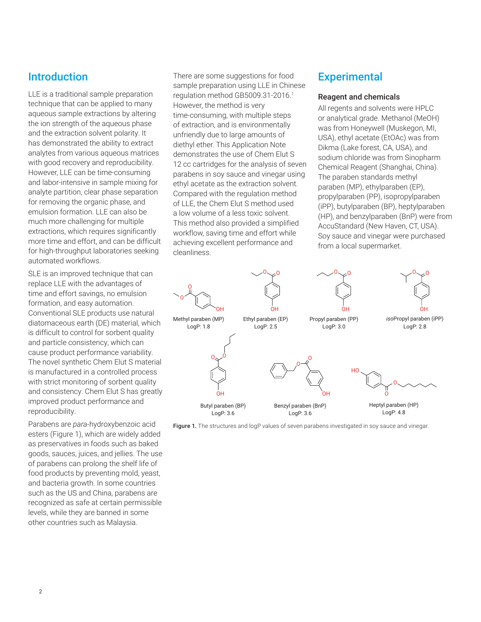## Introduction

LLE is a traditional sample preparation technique that can be applied to many aqueous sample extractions by altering the ion strength of the aqueous phase and the extraction solvent polarity. It has demonstrated the ability to extract analytes from various aqueous matrices with good recovery and reproducibility. However, LLE can be time-consuming and labor-intensive in sample mixing for analyte partition, clear phase separation for removing the organic phase, and emulsion formation. LLE can also be much more challenging for multiple extractions, which requires significantly more time and effort, and can be difficult for high-throughput laboratories seeking automated workflows.

SLE is an improved technique that can replace LLE with the advantages of time and effort savings, no emulsion formation, and easy automation. Conventional SLE products use natural diatomaceous earth (DE) material, which is difficult to control for sorbent quality and particle consistency, which can cause product performance variability. The novel synthetic Chem Elut S material is manufactured in a controlled process with strict monitoring of sorbent quality and consistency. Chem Elut S has greatly improved product performance and reproducibility.

Parabens are *para*-hydroxybenzoic acid esters (Figure 1), which are widely added as preservatives in foods such as baked goods, sauces, juices, and jellies. The use of parabens can prolong the shelf life of food products by preventing mold, yeast, and bacteria growth. In some countries such as the US and China, parabens are recognized as safe at certain permissible levels, while they are banned in some other countries such as Malaysia.

There are some suggestions for food sample preparation using LLE in Chinese regulation method GB5009.31-2016.<sup>1</sup> However, the method is very time-consuming, with multiple steps of extraction, and is environmentally unfriendly due to large amounts of diethyl ether. This Application Note demonstrates the use of Chem Elut S 12 cc cartridges for the analysis of seven parabens in soy sauce and vinegar using ethyl acetate as the extraction solvent. Compared with the regulation method of LLE, the Chem Elut S method used a low volume of a less toxic solvent. This method also provided a simplified workflow, saving time and effort while achieving excellent performance and cleanliness.

## **Experimental**

#### Reagent and chemicals

All regents and solvents were HPLC or analytical grade. Methanol (MeOH) was from Honeywell (Muskegon, MI, USA), ethyl acetate (EtOAc) was from Dikma (Lake forest, CA, USA), and sodium chloride was from Sinopharm Chemical Reagent (Shanghai, China). The paraben standards methyl paraben (MP), ethylparaben (EP), propylparaben (PP), isopropylparaben (iPP), butylparaben (BP), heptylparaben (HP), and benzylparaben (BnP) were from AccuStandard (New Haven, CT, USA). Soy sauce and vinegar were purchased from a local supermarket.



Figure 1. The structures and logP values of seven parabens investigated in soy sauce and vinegar.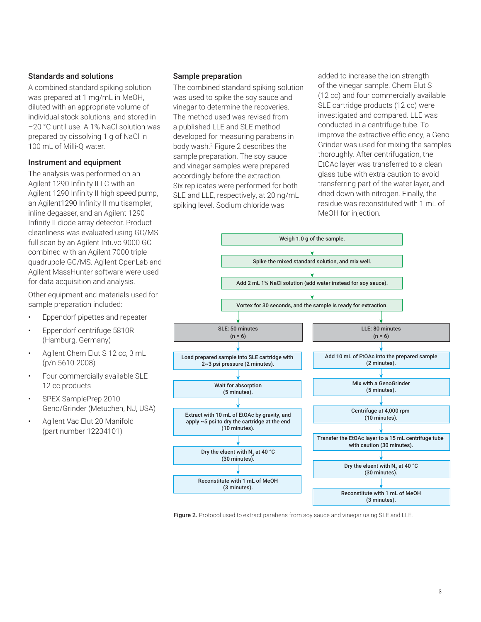#### Standards and solutions

A combined standard spiking solution was prepared at 1 mg/mL in MeOH, diluted with an appropriate volume of individual stock solutions, and stored in –20 °C until use. A 1% NaCl solution was prepared by dissolving 1 g of NaCl in 100 mL of Milli-Q water.

#### Instrument and equipment

The analysis was performed on an Agilent 1290 Infinity II LC with an Agilent 1290 Infinity II high speed pump, an Agilent1290 Infinity II multisampler, inline degasser, and an Agilent 1290 Infinity II diode array detector. Product cleanliness was evaluated using GC/MS full scan by an Agilent Intuvo 9000 GC combined with an Agilent 7000 triple quadrupole GC/MS. Agilent OpenLab and Agilent MassHunter software were used for data acquisition and analysis.

Other equipment and materials used for sample preparation included:

- Eppendorf pipettes and repeater
- Eppendorf centrifuge 5810R (Hamburg, Germany)
- Agilent Chem Elut S 12 cc, 3 mL (p/n 5610-2008)
- Four commercially available SLE 12 cc products
- SPEX SamplePrep 2010 Geno/Grinder (Metuchen, NJ, USA)
- Agilent Vac Elut 20 Manifold (part number 12234101)

#### Sample preparation

The combined standard spiking solution was used to spike the soy sauce and vinegar to determine the recoveries. The method used was revised from a published LLE and SLE method developed for measuring parabens in body wash.2 Figure 2 describes the sample preparation. The soy sauce and vinegar samples were prepared accordingly before the extraction. Six replicates were performed for both SLE and LLE, respectively, at 20 ng/mL spiking level. Sodium chloride was

added to increase the ion strength of the vinegar sample. Chem Elut S (12 cc) and four commercially available SLE cartridge products (12 cc) were investigated and compared. LLE was conducted in a centrifuge tube. To improve the extractive efficiency, a Geno Grinder was used for mixing the samples thoroughly. After centrifugation, the EtOAc layer was transferred to a clean glass tube with extra caution to avoid transferring part of the water layer, and dried down with nitrogen. Finally, the residue was reconstituted with 1 mL of MeOH for injection.



Figure 2. Protocol used to extract parabens from soy sauce and vinegar using SLE and LLE.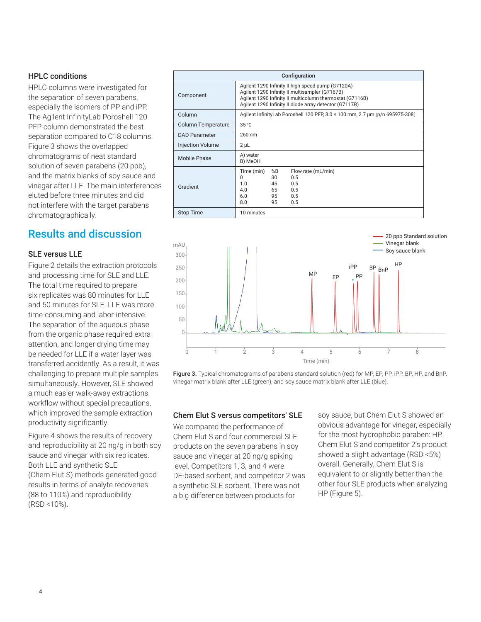#### HPLC conditions

HPLC columns were investigated for the separation of seven parabens, especially the isomers of PP and iPP. The Agilent InfinityLab Poroshell 120 PFP column demonstrated the best separation compared to C18 columns. Figure 3 shows the overlapped chromatograms of neat standard solution of seven parabens (20 ppb), and the matrix blanks of soy sauce and vinegar after LLE. The main interferences eluted before three minutes and did not interfere with the target parabens chromatographically.

## Results and discussion

#### SLE versus LLE

Figure 2 details the extraction protocols and processing time for SLE and LLE. The total time required to prepare six replicates was 80 minutes for LLE and 50 minutes for SLE. LLE was more time-consuming and labor-intensive. The separation of the aqueous phase from the organic phase required extra attention, and longer drying time may be needed for LLE if a water layer was transferred accidently. As a result, it was challenging to prepare multiple samples simultaneously. However, SLE showed a much easier walk-away extractions workflow without special precautions, which improved the sample extraction productivity significantly.

Figure 4 shows the results of recovery and reproducibility at 20 ng/g in both soy sauce and vinegar with six replicates. Both LLE and synthetic SLE (Chem Elut S) methods generated good results in terms of analyte recoveries (88 to 110%) and reproducibility (RSD <10%).

| Configuration             |                                                                                                                                                                                                                           |
|---------------------------|---------------------------------------------------------------------------------------------------------------------------------------------------------------------------------------------------------------------------|
| Component                 | Agilent 1290 Infinity II high speed pump (G7120A)<br>Agilent 1290 Infinity II multisampler (G7167B)<br>Agilent 1290 Infinity II multicolumn thermostat (G7116B)<br>Agilent 1290 Infinity II diode array detector (G7117B) |
| Column                    | Agilent InfinityLab Poroshell 120 PFP, 3.0 × 100 mm, 2.7 µm (p/n 695975-308)                                                                                                                                              |
| <b>Column Temperature</b> | 35 °C                                                                                                                                                                                                                     |
| <b>DAD Parameter</b>      | 260 nm                                                                                                                                                                                                                    |
| <b>Injection Volume</b>   | $2 \mu L$                                                                                                                                                                                                                 |
| Mobile Phase              | A) water<br>B) MeOH                                                                                                                                                                                                       |
| Gradient                  | Time (min)<br>%B<br>Flow rate (mL/min)<br>0.5<br>$\Omega$<br>30<br>0.5<br>1.0<br>45<br>4.0<br>65<br>0.5<br>6.0<br>95<br>0.5<br>8.0<br>95<br>0.5                                                                           |
| <b>Stop Time</b>          | 10 minutes                                                                                                                                                                                                                |



Figure 3. Typical chromatograms of parabens standard solution (red) for MP, FP, PP, iPP, BP, HP, and BnP, vinegar matrix blank after LLE (green), and soy sauce matrix blank after LLE (blue).

#### Chem Elut S versus competitors' SLE

We compared the performance of Chem Elut S and four commercial SLE products on the seven parabens in soy sauce and vinegar at 20 ng/g spiking level. Competitors 1, 3, and 4 were DE‑based sorbent, and competitor 2 was a synthetic SLE sorbent. There was not a big difference between products for

soy sauce, but Chem Elut S showed an obvious advantage for vinegar, especially for the most hydrophobic paraben: HP. Chem Elut S and competitor 2's product showed a slight advantage (RSD <5%) overall. Generally, Chem Elut S is equivalent to or slightly better than the other four SLE products when analyzing HP (Figure 5).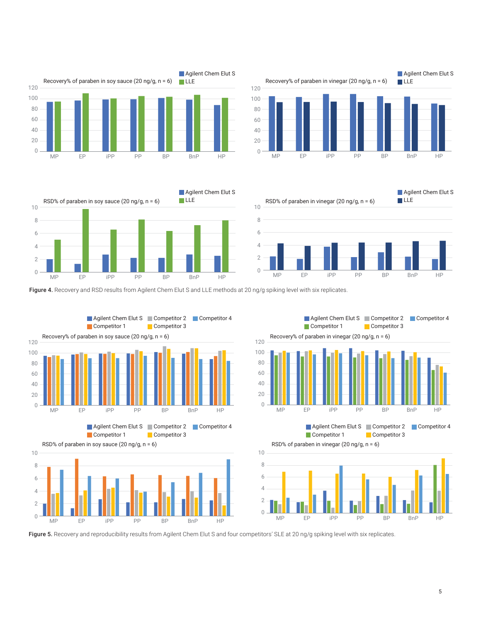







Figure 4. Recovery and RSD results from Agilent Chem Elut S and LLE methods at 20 ng/g spiking level with six replicates.



Figure 5. Recovery and reproducibility results from Agilent Chem Elut S and four competitors' SLE at 20 ng/g spiking level with six replicates.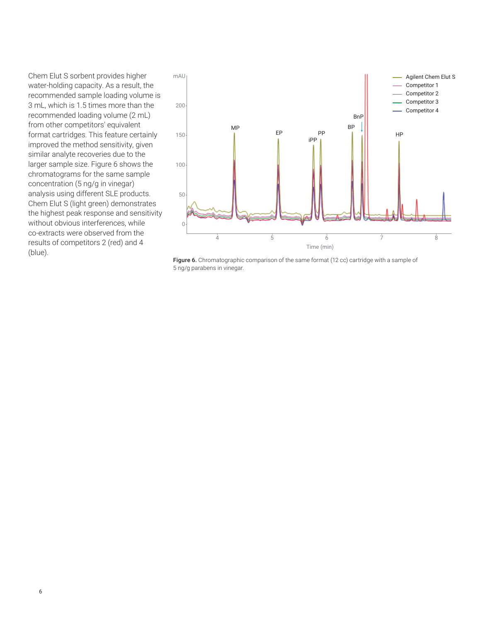Chem Elut S sorbent provides higher water-holding capacity. As a result, the recommended sample loading volume is 3 mL, which is 1.5 times more than the recommended loading volume (2 mL) from other competitors' equivalent format cartridges. This feature certainly improved the method sensitivity, given similar analyte recoveries due to the larger sample size. Figure 6 shows the chromatograms for the same sample concentration (5 ng/g in vinegar) analysis using different SLE products. Chem Elut S (light green) demonstrates the highest peak response and sensitivity without obvious interferences, while co‑extracts were observed from the results of competitors 2 (red) and 4 (blue).



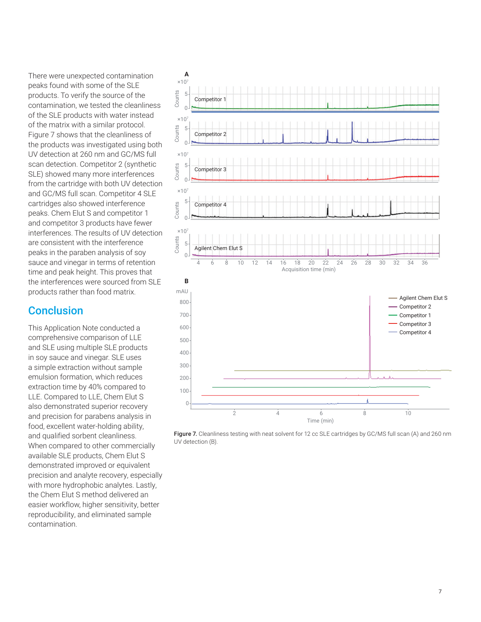There were unexpected contamination peaks found with some of the SLE products. To verify the source of the contamination, we tested the cleanliness of the SLE products with water instead of the matrix with a similar protocol. Figure 7 shows that the cleanliness of the products was investigated using both UV detection at 260 nm and GC/MS full scan detection. Competitor 2 (synthetic SLE) showed many more interferences from the cartridge with both UV detection and GC/MS full scan. Competitor 4 SLE cartridges also showed interference peaks. Chem Elut S and competitor 1 and competitor 3 products have fewer interferences. The results of UV detection are consistent with the interference peaks in the paraben analysis of soy sauce and vinegar in terms of retention time and peak height. This proves that the interferences were sourced from SLE products rather than food matrix.

## **Conclusion**

This Application Note conducted a comprehensive comparison of LLE and SLE using multiple SLE products in soy sauce and vinegar. SLE uses a simple extraction without sample emulsion formation, which reduces extraction time by 40% compared to LLE. Compared to LLE, Chem Elut S also demonstrated superior recovery and precision for parabens analysis in food, excellent water-holding ability, and qualified sorbent cleanliness. When compared to other commercially available SLE products, Chem Elut S demonstrated improved or equivalent precision and analyte recovery, especially with more hydrophobic analytes. Lastly, the Chem Elut S method delivered an easier workflow, higher sensitivity, better reproducibility, and eliminated sample contamination.



Figure 7. Cleanliness testing with neat solvent for 12 cc SLE cartridges by GC/MS full scan (A) and 260 nm UV detection (B).